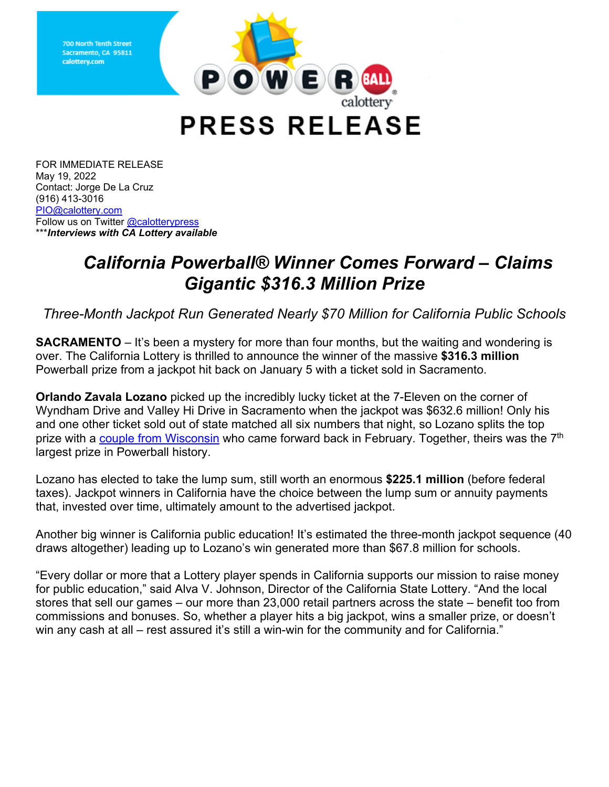

**PRESS RELEASE** 

Follow us on Twitter <u>@calotterypress</u>  \*\*\**Interviews with CA Lottery available*  FOR IMMEDIATE RELEASE May 19, 2022 Contact: Jorge De La Cruz (916) 413-3016 [PIO@calottery.com](mailto:PIO@calottery.com) 

**calottery.com** 

## *California Powerball® Winner Comes Forward – Claims Gigantic \$316.3 Million Prize*

*Three-Month Jackpot Run Generated Nearly \$70 Million for California Public Schools* 

 **SACRAMENTO** – It's been a mystery for more than four months, but the waiting and wondering is Powerball prize from a jackpot hit back on January 5 with a ticket sold in Sacramento. over. The California Lottery is thrilled to announce the winner of the massive **\$316.3 million** 

**Orlando Zavala Lozano** picked up the incredibly lucky ticket at the 7-Eleven on the corner of Wyndham Drive and Valley Hi Drive in Sacramento when the jackpot was \$632.6 million! Only his and one other ticket sold out of state matched all six numbers that night, so Lozano splits the top prize with a [couple from Wisconsin](https://wilottery.com/sites/default/files/2022-02/2-7-2022-wi-lottery-news-release-316.3-million-wisconsin-powerball-jackpot-claimed-by-brown-county-couple.pdf) who came forward back in February. Together, theirs was the 7<sup>th</sup> largest prize in Powerball history.

 that, invested over time, ultimately amount to the advertised jackpot. Lozano has elected to take the lump sum, still worth an enormous **\$225.1 million** (before federal taxes). Jackpot winners in California have the choice between the lump sum or annuity payments

 draws altogether) leading up to Lozano's win generated more than \$67.8 million for schools. Another big winner is California public education! It's estimated the three-month jackpot sequence (40

 for public education," said Alva V. Johnson, Director of the California State Lottery. "And the local stores that sell our games – our more than 23,000 retail partners across the state – benefit too from "Every dollar or more that a Lottery player spends in California supports our mission to raise money commissions and bonuses. So, whether a player hits a big jackpot, wins a smaller prize, or doesn't win any cash at all – rest assured it's still a win-win for the community and for California."